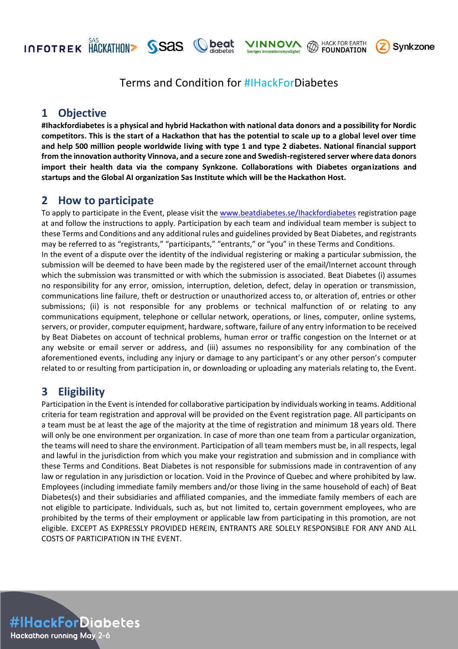**INFOTREK HACKATHON> SSAS** 

**FOUNDATION** 

**HACK FOR EARTH** 



# Terms and Condition for #IHackForDiabetes

**beat** 

# **1 Objective**

**#Ihackfordiabetes is a physical and hybrid Hackathon with national data donors and a possibility for Nordic competitors. This is the start of a Hackathon that has the potential to scale up to a global level over time and help 500 million people worldwide living with type 1 and type 2 diabetes. National financial support from the innovation authority Vinnova, and a secure zone and Swedish-registered server where data donors import their health data via the company Synkzone. Collaborations with Diabetes organizations and startups and the Global AI organization Sas Institute which will be the Hackathon Host.** 

# **2 How to participate**

To apply to participate in the Event, please visit the [www.beatdiabetes.se/Ihackfordiabetes](http://www.beatdiabetes.se/Ihackfordiabetes) registration page at and follow the instructions to apply. Participation by each team and individual team member is subject to these Terms and Conditions and any additional rules and guidelines provided by Beat Diabetes, and registrants may be referred to as "registrants," "participants," "entrants," or "you" in these Terms and Conditions. In the event of a dispute over the identity of the individual registering or making a particular submission, the submission will be deemed to have been made by the registered user of the email/Internet account through which the submission was transmitted or with which the submission is associated. Beat Diabetes (i) assumes no responsibility for any error, omission, interruption, deletion, defect, delay in operation or transmission, communications line failure, theft or destruction or unauthorized access to, or alteration of, entries or other submissions; (ii) is not responsible for any problems or technical malfunction of or relating to any communications equipment, telephone or cellular network, operations, or lines, computer, online systems, servers, or provider, computer equipment, hardware, software, failure of any entry information to be received by Beat Diabetes on account of technical problems, human error or traffic congestion on the Internet or at any website or email server or address, and (iii) assumes no responsibility for any combination of the aforementioned events, including any injury or damage to any participant's or any other person's computer related to or resulting from participation in, or downloading or uploading any materials relating to, the Event.

# **3 Eligibility**

Participation in the Event is intended for collaborative participation by individuals working in teams. Additional criteria for team registration and approval will be provided on the Event registration page. All participants on a team must be at least the age of the majority at the time of registration and minimum 18 years old. There will only be one environment per organization. In case of more than one team from a particular organization, the teams will need to share the environment. Participation of all team members must be, in all respects, legal and lawful in the jurisdiction from which you make your registration and submission and in compliance with these Terms and Conditions. Beat Diabetes is not responsible for submissions made in contravention of any law or regulation in any jurisdiction or location. Void in the Province of Quebec and where prohibited by law. Employees (including immediate family members and/or those living in the same household of each) of Beat Diabetes(s) and their subsidiaries and affiliated companies, and the immediate family members of each are not eligible to participate. Individuals, such as, but not limited to, certain government employees, who are prohibited by the terms of their employment or applicable law from participating in this promotion, are not eligible. EXCEPT AS EXPRESSLY PROVIDED HEREIN, ENTRANTS ARE SOLELY RESPONSIBLE FOR ANY AND ALL COSTS OF PARTICIPATION IN THE EVENT.

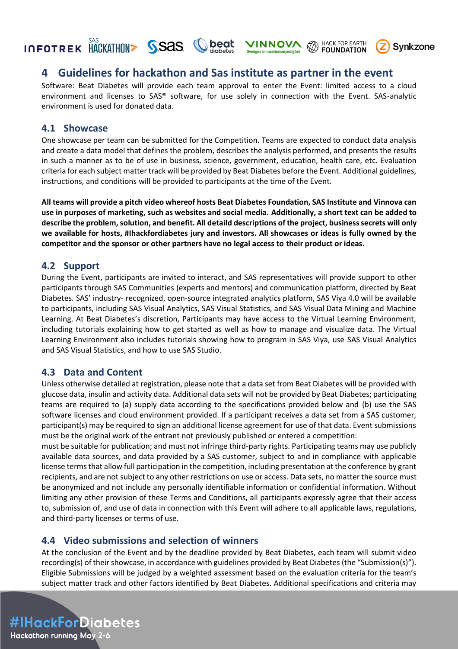# **INFOTREK HACKATHON> SSAS Cheat**

## **4 Guidelines for hackathon and Sas institute as partner in the event**

Software: Beat Diabetes will provide each team approval to enter the Event: limited access to a cloud environment and licenses to SAS® software, for use solely in connection with the Event. SAS-analytic environment is used for donated data.

**VINNOVA** @ HACK FOR EARTH

**Synkzone** 

#### **4.1 Showcase**

One showcase per team can be submitted for the Competition. Teams are expected to conduct data analysis and create a data model that defines the problem, describes the analysis performed, and presents the results in such a manner as to be of use in business, science, government, education, health care, etc. Evaluation criteria for each subject matter track will be provided by Beat Diabetes before the Event. Additional guidelines, instructions, and conditions will be provided to participants at the time of the Event.

**All teams will provide a pitch video whereof hosts Beat Diabetes Foundation, SAS Institute and Vinnova can use in purposes of marketing, such as websites and social media. Additionally, a short text can be added to describe the problem, solution, and benefit. All detaild descriptions of the project, business secrets will only we available for hosts, #Ihackfordiabetes jury and investors. All showcases or ideas is fully owned by the competitor and the sponsor or other partners have no legal access to their product or ideas.**

#### **4.2 Support**

During the Event, participants are invited to interact, and SAS representatives will provide support to other participants through SAS Communities (experts and mentors) and communication platform, directed by Beat Diabetes. SAS' industry- recognized, open-source integrated analytics platform, SAS Viya 4.0 will be available to participants, including SAS Visual Analytics, SAS Visual Statistics, and SAS Visual Data Mining and Machine Learning. At Beat Diabetes's discretion, Participants may have access to the Virtual Learning Environment, including tutorials explaining how to get started as well as how to manage and visualize data. The Virtual Learning Environment also includes tutorials showing how to program in SAS Viya, use SAS Visual Analytics and SAS Visual Statistics, and how to use SAS Studio.

#### **4.3 Data and Content**

Unless otherwise detailed at registration, please note that a data set from Beat Diabetes will be provided with glucose data, insulin and activity data. Additional data sets will not be provided by Beat Diabetes; participating teams are required to (a) supply data according to the specifications provided below and (b) use the SAS software licenses and cloud environment provided. If a participant receives a data set from a SAS customer, participant(s) may be required to sign an additional license agreement for use of that data. Event submissions must be the original work of the entrant not previously published or entered a competition:

must be suitable for publication; and must not infringe third-party rights. Participating teams may use publicly available data sources, and data provided by a SAS customer, subject to and in compliance with applicable license terms that allow full participation in the competition, including presentation at the conference by grant recipients, and are not subject to any other restrictions on use or access. Data sets, no matter the source must be anonymized and not include any personally identifiable information or confidential information. Without limiting any other provision of these Terms and Conditions, all participants expressly agree that their access to, submission of, and use of data in connection with this Event will adhere to all applicable laws, regulations, and third-party licenses or terms of use.

#### **4.4 Video submissions and selection of winners**

At the conclusion of the Event and by the deadline provided by Beat Diabetes, each team will submit video recording(s) of their showcase, in accordance with guidelines provided by Beat Diabetes (the "Submission(s)"). Eligible Submissions will be judged by a weighted assessment based on the evaluation criteria for the team's subject matter track and other factors identified by Beat Diabetes. Additional specifications and criteria may

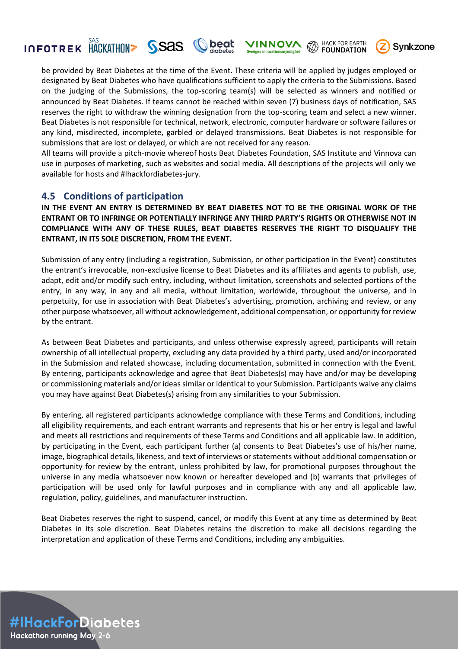#### **HACK FOR EARTH INNOV/** KA **FOUNDATION**

**Synkzone** 

be provided by Beat Diabetes at the time of the Event. These criteria will be applied by judges employed or designated by Beat Diabetes who have qualifications sufficient to apply the criteria to the Submissions. Based on the judging of the Submissions, the top-scoring team(s) will be selected as winners and notified or announced by Beat Diabetes. If teams cannot be reached within seven (7) business days of notification, SAS reserves the right to withdraw the winning designation from the top-scoring team and select a new winner. Beat Diabetes is not responsible for technical, network, electronic, computer hardware or software failures or any kind, misdirected, incomplete, garbled or delayed transmissions. Beat Diabetes is not responsible for submissions that are lost or delayed, or which are not received for any reason.

peat

All teams will provide a pitch-movie whereof hosts Beat Diabetes Foundation, SAS Institute and Vinnova can use in purposes of marketing, such as websites and social media. All descriptions of the projects will only we available for hosts and #Ihackfordiabetes-jury.

#### **4.5 Conditions of participation**

**INFOTREK HACKATHON> SSAS** 

**IN THE EVENT AN ENTRY IS DETERMINED BY BEAT DIABETES NOT TO BE THE ORIGINAL WORK OF THE ENTRANT OR TO INFRINGE OR POTENTIALLY INFRINGE ANY THIRD PARTY'S RIGHTS OR OTHERWISE NOT IN COMPLIANCE WITH ANY OF THESE RULES, BEAT DIABETES RESERVES THE RIGHT TO DISQUALIFY THE ENTRANT, IN ITS SOLE DISCRETION, FROM THE EVENT.** 

Submission of any entry (including a registration, Submission, or other participation in the Event) constitutes the entrant's irrevocable, non-exclusive license to Beat Diabetes and its affiliates and agents to publish, use, adapt, edit and/or modify such entry, including, without limitation, screenshots and selected portions of the entry, in any way, in any and all media, without limitation, worldwide, throughout the universe, and in perpetuity, for use in association with Beat Diabetes's advertising, promotion, archiving and review, or any other purpose whatsoever, all without acknowledgement, additional compensation, or opportunity for review by the entrant.

As between Beat Diabetes and participants, and unless otherwise expressly agreed, participants will retain ownership of all intellectual property, excluding any data provided by a third party, used and/or incorporated in the Submission and related showcase, including documentation, submitted in connection with the Event. By entering, participants acknowledge and agree that Beat Diabetes(s) may have and/or may be developing or commissioning materials and/or ideas similar or identical to your Submission. Participants waive any claims you may have against Beat Diabetes(s) arising from any similarities to your Submission.

By entering, all registered participants acknowledge compliance with these Terms and Conditions, including all eligibility requirements, and each entrant warrants and represents that his or her entry is legal and lawful and meets all restrictions and requirements of these Terms and Conditions and all applicable law. In addition, by participating in the Event, each participant further (a) consents to Beat Diabetes's use of his/her name, image, biographical details, likeness, and text of interviews or statements without additional compensation or opportunity for review by the entrant, unless prohibited by law, for promotional purposes throughout the universe in any media whatsoever now known or hereafter developed and (b) warrants that privileges of participation will be used only for lawful purposes and in compliance with any and all applicable law, regulation, policy, guidelines, and manufacturer instruction.

Beat Diabetes reserves the right to suspend, cancel, or modify this Event at any time as determined by Beat Diabetes in its sole discretion. Beat Diabetes retains the discretion to make all decisions regarding the interpretation and application of these Terms and Conditions, including any ambiguities.